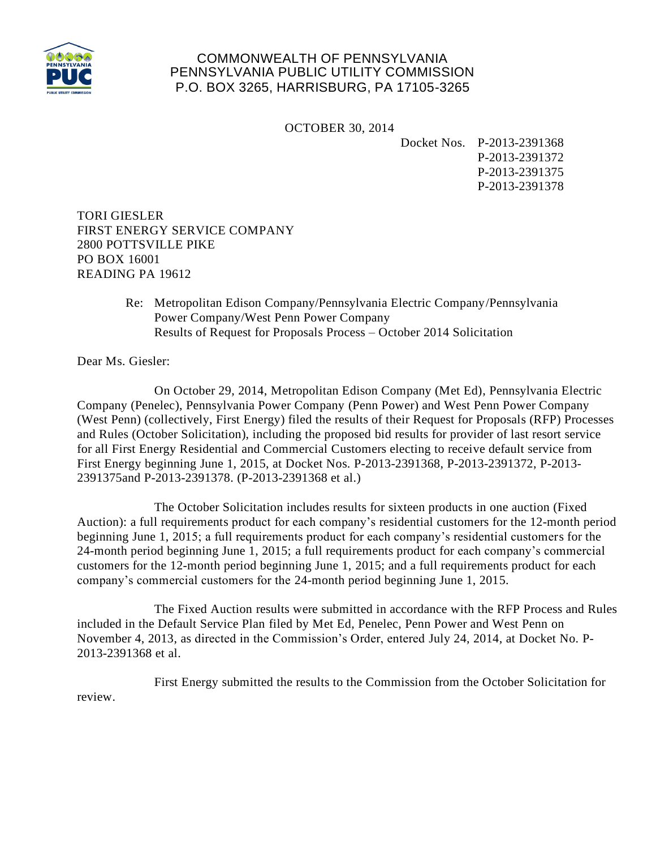

## COMMONWEALTH OF PENNSYLVANIA PENNSYLVANIA PUBLIC UTILITY COMMISSION P.O. BOX 3265, HARRISBURG, PA 17105-3265

OCTOBER 30, 2014

Docket Nos. P-2013-2391368

P-2013-2391372 P-2013-2391375 P-2013-2391378

TORI GIESLER FIRST ENERGY SERVICE COMPANY 2800 POTTSVILLE PIKE PO BOX 16001 READING PA 19612

> Re: Metropolitan Edison Company/Pennsylvania Electric Company/Pennsylvania Power Company/West Penn Power Company Results of Request for Proposals Process – October 2014 Solicitation

Dear Ms. Giesler:

On October 29, 2014, Metropolitan Edison Company (Met Ed), Pennsylvania Electric Company (Penelec), Pennsylvania Power Company (Penn Power) and West Penn Power Company (West Penn) (collectively, First Energy) filed the results of their Request for Proposals (RFP) Processes and Rules (October Solicitation), including the proposed bid results for provider of last resort service for all First Energy Residential and Commercial Customers electing to receive default service from First Energy beginning June 1, 2015, at Docket Nos. P-2013-2391368, P-2013-2391372, P-2013- 2391375and P-2013-2391378. (P-2013-2391368 et al.)

The October Solicitation includes results for sixteen products in one auction (Fixed Auction): a full requirements product for each company's residential customers for the 12-month period beginning June 1, 2015; a full requirements product for each company's residential customers for the 24-month period beginning June 1, 2015; a full requirements product for each company's commercial customers for the 12-month period beginning June 1, 2015; and a full requirements product for each company's commercial customers for the 24-month period beginning June 1, 2015.

The Fixed Auction results were submitted in accordance with the RFP Process and Rules included in the Default Service Plan filed by Met Ed, Penelec, Penn Power and West Penn on November 4, 2013, as directed in the Commission's Order, entered July 24, 2014, at Docket No. P-2013-2391368 et al.

First Energy submitted the results to the Commission from the October Solicitation for review.